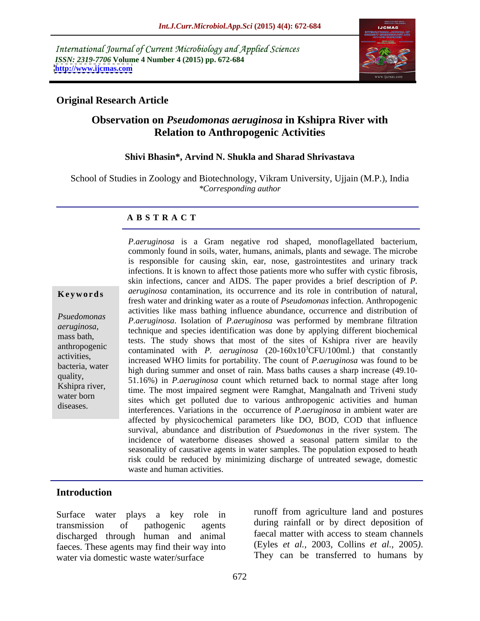International Journal of Current Microbiology and Applied Sciences *ISSN: 2319-7706* **Volume 4 Number 4 (2015) pp. 672-684 <http://www.ijcmas.com>**



## **Original Research Article**

# **Observation on** *Pseudomonas aeruginosa* **in Kshipra River with Relation to Anthropogenic Activities**

### **Shivi Bhasin\*, Arvind N. Shukla and Sharad Shrivastava**

School of Studies in Zoology and Biotechnology, Vikram University, Ujjain (M.P.), India *\*Corresponding author*

### **A B S T R A C T**

diseases.

*P.aeruginosa* is a Gram negative rod shaped, monoflagellated bacterium, commonly found in soils, water, humans, animals, plants and sewage. The microbe is responsible for causing skin, ear, nose, gastrointestites and urinary track infections. It is known to affect those patients more who suffer with cystic fibrosis, skin infections, cancer and AIDS. The paper provides a brief description of *P.*  **Keywords** *aeruginosa* contamination, its occurrence and its role in contribution of natural, fresh water and drinking water as a route of *Pseudomonas* infection. Anthropogenic activities like mass bathing influence abundance, occurrence and distribution of *Psuedomonas P.aeruginosa.* Isolation of *P.aeruginosa* was performed by membrane filtration *aeruginosa*,<br> *aeruginosa*,<br> *aeruginosa*,<br> *aeruginosa*,<br> *aeruginosa*,<br> *aeruginosa*,<br> *aeruginosa*,<br> *aeruginosa*,<br> *aereginosa*,<br> *aereginosa*,<br> *aereginosa*,<br> *aereginosa*,<br> *aereginosa*,<br> *aereginosa,* tests. The study shows that most of the sites of Kshipra river are heavily anthropogenic contaminated with *P. aeruginosa*  $(20-160x10^3CFU/100m)$  that constantly activities,<br>letter increased WHO limits for portability. The count of *P.aeruginosa* was found to be high during summer and onset of rain. Mass baths causes a sharp increase (49.10quality,<br>
51.16%) in *P.aeruginosa* count which returned back to normal stage after long Kshipra river,<br>time. The most impaired segment were Ramghat, Mangalnath and Triveni study water born<br>water born sites which get polluted due to various anthropogenic activities and human interferences. Variations in the occurrence of *P.aeruginosa* in ambient water are affected by physicochemical parameters like DO, BOD, COD that influence survival, abundance and distribution of *Psuedomonas* in the river system. The incidence of waterborne diseases showed a seasonal pattern similar to the seasonality of causative agents in water samples. The population exposed to heath risk could be reduced by minimizing discharge of untreated sewage, domestic waste and human activities.

### **Introduction**

transmission of pathogenic agents during rainfall or by direct deposition of discharged through human and animal taecal matter with access to steam channels<br>faeces. These agents may find their way into (Eyles *et al.*, 2003, Collins *et al.*, 2005). faeces. These agents may find their way into<br>water is domestic waste<br/> water/surface<br>They can be transferred to humans by water via domestic waste water/surface

Surface water plays a key role in function agriculture land and postures faecal matter with access to steam channels (Eyles *et al.,* 2003, Collins *et al.,* <sup>2005</sup>*)*. They can be transferred to humans by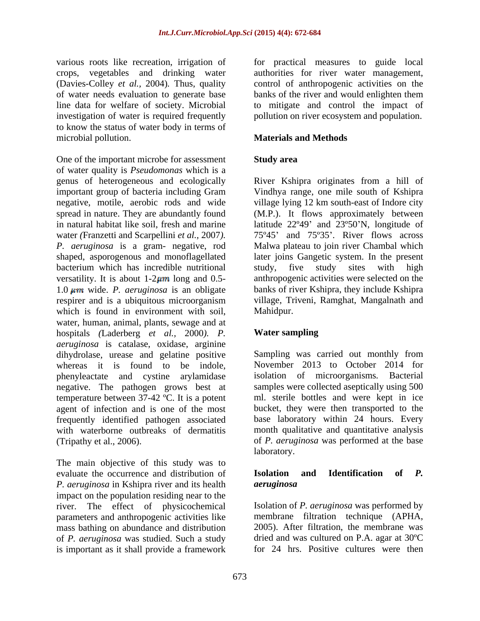(Davies-Colley *et al.,* 2004)*.*Thus, quality investigation of water is required frequently pollution on river ecosystem and population. to know the status of water body in terms of microbial pollution. **Materials and Methods**

One of the important microbe for assessment Study area of water quality is *Pseudomonas* which is a genus of heterogeneous and ecologically River Kshipra originates from a hill of important group of bacteria including Gram negative, motile, aerobic rods and wide village lying 12 km south-east of Indore city spread in nature. They are abundantly found (M.P.). It flows approximately between in natural habitat like soil, fresh and marine latitude 22°49' and 23°50'N, longitude of water *(Franzetti and Scarpellini et al., 2007).*  $75^{\circ}45'$  and 75°35'. River flows across *P. aeruginosa* is a gram- negative, rod Malwa plateau to join river Chambal which shaped, asporogenous and monoflagellated later joins Gangetic system. In the present bacterium which has incredible nutritional study, five study sites with high versatility. It is about  $1-2\mu m$  long and 0.5- anthropogenic activities were selected on the 1.0 wide. *P. aeruginosa* is an obligate respirer and is a ubiquitous microorganism village, Tr<br>which is found in environment with soil. Mahidpur. which is found in environment with soil. water, human, animal, plants, sewage and at hospitals *(*Laderberg *et al.,* 2000*). P. aeruginosa* is catalase, oxidase, arginine dihydrolase, urease and gelatine positive Sampling was carried out monthly from whereas it is found to be indole, November 2013 to October 2014 for phenyleactate and cystine arylamidase negative. The pathogen grows best at temperature between 37-42 ºC. It is a potent agent of infection and is one of the most frequently identified pathogen associated base laboratory within 24 hours. Every with waterborne outbreaks of dermatitis month qualitative and quantitative analysis

The main objective of this study was to evaluate the occurrence and distribution of **Isolation and Identification of P.** *P. aeruginosa* in Kshipra river and its health impact on the population residing near to the river. The effect of physicochemical Isolation of *P. aeruginosa* was performed by parameters and anthropogenic activities like mass bathing on abundance and distribution of *P. aeruginosa* was studied. Such a study is important as it shall provide a framework

various roots like recreation, irrigation of for practical measures to guide local crops, vegetables and drinking water authorities for river water management, of water needs evaluation to generate base banks of the river and would enlighten them line data for welfare of society. Microbial to mitigate and control the impact of control of anthropogenic activities on the

## **Study area**

Vindhya range, one mile south of Kshipra study, five study sites with high banks of river Kshipra, they include Kshipra village, Triveni, Ramghat, Mangalnath and Mahidpur.

# **Water sampling**

(Tripathy et al., 2006). of *P. aeruginosa* was performed at the base Sampling was carried out monthly from isolation of microorganisms*.* Bacterial samples were collected aseptically using 500 ml. sterile bottles and were kept in ice bucket, they were then transported to the laboratory.

### **Isolation and Identification of** *P. aeruginosa*

membrane filtration technique (APHA, 2005). After filtration, the membrane was dried and was cultured on P.A. agar at 30ºC for 24 hrs. Positive cultures were then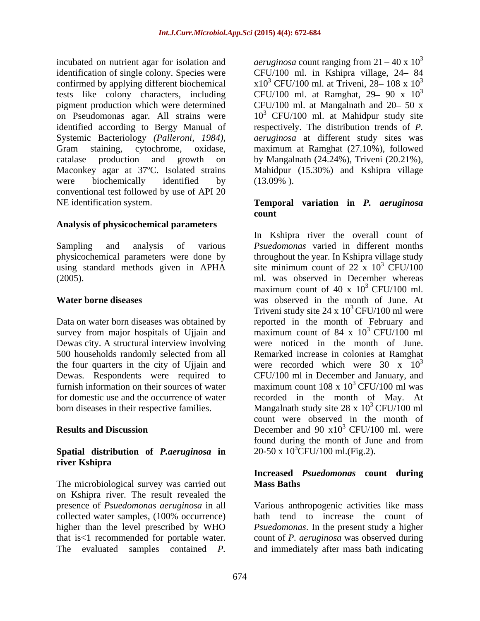incubated on nutrient agar for isolation and *aeruginosa* count ranging from  $21 - 40 \times 10^3$ identification of single colony. Species were CFU/100 ml. in Kshipra village, 24 84 confirmed by applying different biochemical  $x10^3$  CFU/100 ml. at Triveni, 28–108 x 10<sup>3</sup> tests like colony characters, including<br>pigment production which were determined pigment production which were determined CFU/100 ml. at Mangalnath and 20–50 x on Pseudomonas agar. All strains were identified according to Bergy Manual of respectively. The distribution trends of *P.*  Systemic Bacteriology *(Palleroni, 1984)*, *aeruginosa* at different study sites was<br>Gram staining, cytochrome, oxidase, maximum at Ramghat (27.10%), followed catalase production and growth on by Mangalnath (24.24%), Triveni (20.21%), Maconkey agar at 37ºC. Isolated strains Mahidpur (15.30%) and Kshipra village were biochemically identified by (13.09%). conventional test followed by use of API 20 NE identification system. **Temporal variation in** *P. aeruginosa*

### **Analysis of physicochemical parameters**

using standard methods given in APHA

Data on water born diseases was obtained by survey from major hospitals of Ujjain and Dewas city. A structural interview involving

### **Spatial distribution of** *P.aeruginosa* **in river Kshipra**

The microbiological survey was carried out **Mass Baths** on Kshipra river. The result revealed the

3 CFU/100 ml. at Ramghat,  $29 - 90 \times 10^3$ 3  $10<sup>3</sup>$  CFU/100 ml. at Mahidpur study site *aeruginosa* at different study sites was maximum at Ramghat (27.10%), followed (13.09% ).

# **count**

Sampling and analysis of various *Psuedomonas* varied in different months physicochemical parameters were done by throughout the year. In Kshipra village study (2005). ml. was observed in December whereas **Water borne diseases** was observed in the month of June. At 500 households randomly selected from all Remarked increase in colonies at Ramghat the four quarters in the city of Ujjain and were recorded which were  $30 \times 10^3$ Dewas. Respondents were required to CFU/100 ml in December and January, and furnish information on their sources of water  $\frac{108 \times 10^3 \text{ CFU}}{100 \text{ ml}}$  was for domestic use and the occurrence of water recorded in the month of May. At born diseases in their respective families. Mangalnath study site  $28 \times 10^3$  CFU/100 ml **Results and Discussion** December and 90 x10<sup>3</sup> CFU/100 ml. were In Kshipra river the overall count of site minimum count of  $22 \times 10^3$  CFU/100  $3$  CFU/100 maximum count of 40 x  $10^3$  CFU/100 ml.  $3$  CFU/100 ml. Triveni study site  $24 \times 10^3$  CFU/100 ml were reported in the month of February and maximum count of 84 x  $10^3$  CFU/100 ml 3 CFU/100 ml were noticed in the month of June. 3  $3$  CFU/100 ml was  $3$  CFU/100 ml count were observed in the month of  $3$  CFU/100 ml. were found during the month of June and from  $20-50 \times 10^{3}$ CFU/100 ml.(Fig.2).

### **Increased** *Psuedomonas* **count during Mass Baths**

presence of *Psuedomonas aeruginosa* in all Various anthropogenic activities like mass collected water samples, (100% occurrence) higher than the level prescribed by WHO *Psuedomonas*. In the present study a higher that is<1 recommended for portable water. count of *P. aeruginosa* was observed during The evaluated samples contained *P*. and immediately after mass bath indicating bath tend to increase the count of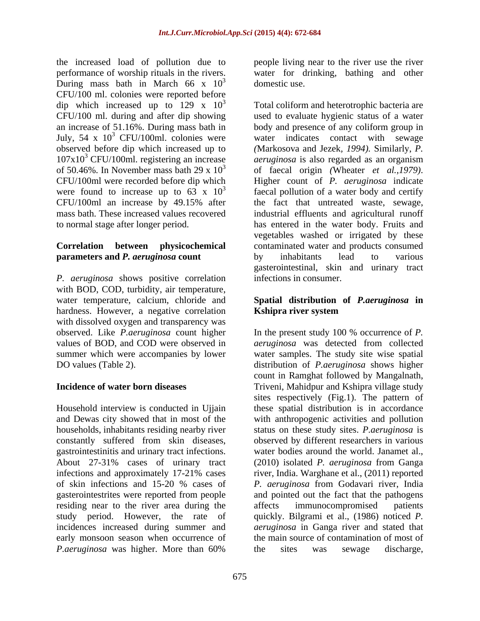the increased load of pollution due to performance of worship rituals in the rivers. water for drinking, bathing and other During mass bath in March 66 x  $10^3$ CFU/100 ml. colonies were reported before<br>dip which increased up to  $129 \times 10^3$ dip which increased up to 129 x  $10^3$  Total coliform and heterotrophic bacteria are July,  $54 \times 10^3$  CFU/100ml. colonies were<br>observed before dip which increased up to CFU/100ml were recorded before dip which Higher count of P. aeruginosa indicate

# **parameters and** *P. aeruginosa* **count** by inhabitants lead to various

*P. aeruginosa* shows positive correlation with BOD, COD, turbidity, air temperature, water temperature, calcium, chloride and **Spatial distribution of** *P.aeruginosa* **in** hardness. However, a negative correlation **Kshipra river system** with dissolved oxygen and transparency was

gastrointestinitis and urinary tract infections. residing near to the river area during the affects immunocompromised patients

domestic use people living near to the river use the river domestic use.

CFU/100 ml. during and after dip showing used to evaluate hygienic status of a water an increase of 51.16%. During mass bath in body and presence of any coliform group in <sup>3</sup> CFU/100ml. colonies were water indicates contact with sewage observed before dip which increased up to *(*Markosova and Jezek*, 1994).* Similarly, *P.*  107x10<sup>3</sup> CFU/100ml. registering an increase *aeruginosa* is also regarded as an organism of 50.46%. In November mass bath 29 x  $10^3$  of faecal origin (Wheater *et al., 1979)*. were found to increase up to  $63 \times 10^3$  faecal pollution of a water body and certify CFU/100ml an increase by 49.15% after mass bath. These increased values recovered industrial effluents and agricultural runoff to normal stage after longer period. has entered in the water body. Fruits and **Correlation between physicochemical** contaminated water and products consumed offaecal origin *(*Wheater *et al.,1979)*. Higher count of *P. aeruginosa* indicate the fact that untreated waste, sewage, vegetables washed or irrigated by these by inhabitants lead to various gasterointestinal, skin and urinary tract infections in consumer.

# **Kshipra river system**

observed. Like *P.aeruginosa* count higher In the present study 100 % occurrence of *P.*  values of BOD, and COD were observed in *aeruginosa* was detected from collected summer which were accompanies by lower water samples. The study site wise spatial DO values (Table 2). distribution of *P.aeruginosa* shows higher **Incidence of water born diseases**  Triveni, Mahidpur and Kshipra village study Household interview is conducted in Ujjain these spatial distribution is in accordance and Dewas city showed that in most of the with anthropogenic activities and pollution households, inhabitants residing nearby river status on these study sites. *P.aeruginosa* is constantly suffered from skin diseases, observed by different researchers in various About 27-31% cases of urinary tract (2010) isolated *P. aeruginosa* from Ganga infections and approximately 17-21% cases river, India. Warghane et al., (2011) reported of skin infections and 15-20 % cases of *P. aeruginosa* from Godavari river, India gasterointestrites were reported from people and pointed out the fact that the pathogens study period. However, the rate of quickly. Bilgrami et al., (1986) noticed *P.*  incidences increased during summer and *aeruginosa* in Ganga river and stated that early monsoon season when occurrence of the main source of contamination of most of *P.aeruginosa* was higher. More than 60% count in Ramghat followed by Mangalnath, sites respectively (Fig.1). The pattern of water bodies around the world. Janamet al., affects immunocompromised patients the sites was sewage discharge,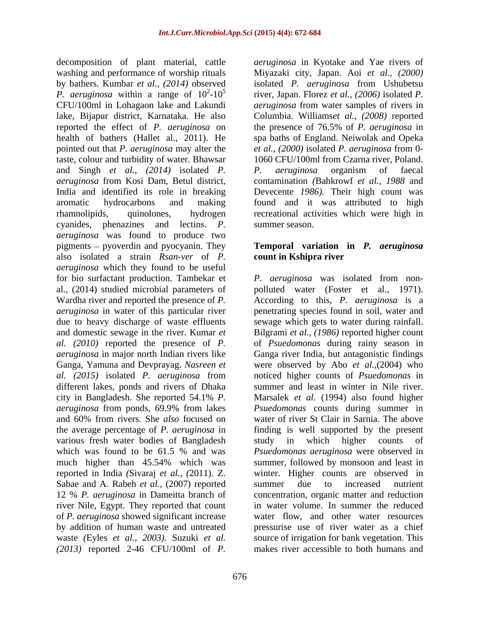decomposition of plant material, cattle washing and performance of worship rituals Miyazaki city, Japan. Aoi *et al., (2000)* by bathers. Kumbar *et al., (2014)* observed *P. aeruginosa* within a range of  $10^2$ -10<sup>5</sup> river, Japan. Florez *et al.,* (2006) isolated *P.* CFU/100ml in Lohagaon lake and Lakundi *aeruginosa* from water samples of rivers in lake, Bijapur district, Karnataka. He also reported the effect of *P. aeruginosa* on the presence of 76.5% of *P. aeruginosa* in health of bathers (Hallet al., 2011). He spa baths of England. Neiwolak and Opeka pointed out that *P. aeruginosa* may alter the *et al., (2000)* isolated *P. aeruginosa* from 0 taste, colour and turbidity of water. Bhawsar and Singh *et al., (2014)* isolated *P. aeruginosa* from Kosi Dam, Betul district, contamination *(*Bahkrowf *et al., 1988* and India and identified its role in breaking Devecente *1986).* Their high count was aromatic hydrocarbons and making found and it was attributed to high rhamnolipids, quinolones, hydrogen recreational activities which were high in cyanides, phenazines and lectins. *P. aeruginosa* was found to produce two  $pigenents - pyoverdin and pyocyanin. They$ also isolated a strain *Rsan-ver* of *P. aeruginosa* which they found to be useful Ganga, Yamuna and Devprayag. *Nasreen et* different lakes, ponds and rivers of Dhaka various fresh water bodies of Bangladesh much higher than 45.54% which was reported in India *(*Sivaraj *et al., (*2011). Z. Sabae and A. Rabeh *et al.*, (2007) reported summer due to increased nutrient river Nile, Egypt. They reported that count of *P. aeruginosa* showed significant increase *(2013)* reported 2-46 CFU/100ml of *P.* 

*aeruginosa* in Kyotake and Yae rivers of isolated *P. aeruginosa* from Ushubetsu Columbia. Williams*et al., (2008)* reported 1060 CFU/100ml from Czarna river, Poland. *P. aeruginosa* organism of faecal summer season.

## **Temporal variation in** *P. aeruginosa* **count in Kshipra river**

for bio surfactant production. Tambekar et *P. aeruginosa* was isolated from non al., (2014) studied microbial parameters of polluted water (Foster et al., 1971). Wardha river and reported the presence of *P.*  According to this, *P. aeruginosa* is a *aeruginosa* in water of this particular river penetrating species found in soil, water and due to heavy discharge of waste effluents sewage which gets to water during rainfall. and domestic sewage in the river. Kumar *et* Bilgrami *et al., (1986)* reported higher count *al. (2010)* reported the presence of *P.*  of *Psuedomonas* during rainy season in *aeruginosa* in major north Indian rivers like Ganga river India, but antagonistic findings *al. (2015)* isolated *P. aeruginosa* from noticed higher counts of *Psuedomonas* in city in Bangladesh. She reported 54.1% *P.*  Marsalek *et al.* (1994) also found higher *aeruginosa* from ponds, 69.9% from lakes and 60% from rivers. She*also* focused on the average percentage of *P. aeruginosa* in finding is well supported by the present which was found to be 61.5 % and was *Psuedomonas aeruginosa* were observed in 12 % *P. aeruginosa* in Dameitta branch of concentration, organic matter and reduction by addition of human waste and untreated pressurise use of river water as a chief waste *(*Eyles *et al., 2003).* Suzuki *et al.* source of irrigation for bank vegetation. This were observed by Abo *et al.,*(2004) who summer and least in winter in Nile river. *Psuedomonas* counts during summer in water of river St Clair in Sarnia. The above study in which higher counts of *Psuedomonas aeruginosa* were observed in summer, followed by monsoon and least in winter. Higher counts are observed in summer due to increased nutrient in water volume. In summer the reduced water flow, and other water resources makes river accessible to both humans and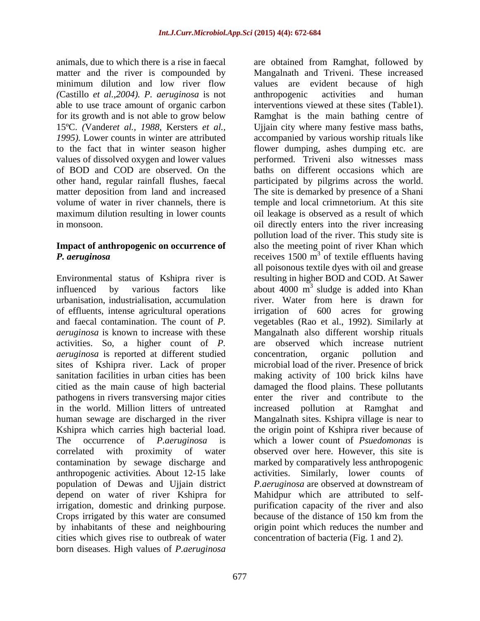*(*Castillo *et al.,2004). P. aeruginosa* is not able to use trace amount of organic carbon values of dissolved oxygen and lower values

of effluents, intense agricultural operations activities. So, a higher count of *P. aeruginosa* is reported at different studied sites of Kshipra river. Lack of proper pathogens in rivers transversing major cities in the world. Million litters of untreated Kshipra which carries high bacterial load. contamination by sewage discharge and population of Dewas and Ujjain district *P. aeruginosa* are observed at downstream of irrigation, domestic and drinking purpose. Crops irrigated by this water are consumed because of the distance of 150 km from the cities which gives rise to outbreak of water born diseases. High values of *P.aeruginosa*

animals, due to which there is a rise in faecal are obtained from Ramghat, followed by matter and the river is compounded by Mangalnath and Triveni. These increased minimum dilution and low river flow values are evident because of high for its growth and is not able to grow below Ramghat is the main bathing centre of 15ºC. *(*Vander*et al., 1988,* Kersters *et al.,* Ujjain city where many festive mass baths, *1995).* Lower counts in winter are attributed accompanied by various worship rituals like to the fact that in winter season higher flower dumping, ashes dumping etc. are of BOD and COD are observed. On the baths on different occasions which are other hand, regular rainfall flushes, faecal participated by pilgrims across the world. matter deposition from land and increased The site is demarked by presence of a Shani volume of water in river channels, there is temple and local crimnetorium. At this site maximum dilution resulting in lower counts oil leakage is observed as a result of which in monsoon. oil directly enters into the river increasing **Impact of anthropogenic on occurrence of** also the meeting point of river Khan which **P.** aeruginosa **receives** 1500 m<sup>3</sup> of textile effluents having Environmental status of Kshipra river is resulting in higher BOD and COD. At Sawer influenced by various factors like about 4000 m urbanisation, industrialisation, accumulation river. Water from here is drawn for and faecal contamination. The count of *P*. vegetables (Rao et al., 1992). Similarly at *aeruginosa* is known to increase with these Mangalnath also different worship rituals sanitation facilities in urban cities has been making activity of 100 brick kilns have citied as the main cause of high bacterial damaged the flood plains. These pollutants human sewage are discharged in the river Mangalnath sites. Kshipra village is near to The occurrence of *P.aeruginosa* is which a lower count of *Psuedomonas* is correlated with proximity of water observed over here. However, this site is anthropogenic activities*.* About 12-15 lake activities. Similarly, lower counts of depend on water of river Kshipra for Mahidpur which are attributed to self by inhabitants of these and neighbouring origin point which reduces the number and values are evident because of high anthropogenic activities and human interventions viewed at these sites (Table1). performed. Triveni also witnesses mass pollution load of the river. This study site is all poisonous textile dyes with oil and grease <sup>3</sup> sludge is added into Khan irrigation of 600 acres for growing are observed which increase nutrient concentration, organic pollution and microbial load of the river. Presence of brick enter the river and contribute to the increased pollution at Ramghat and the origin point of Kshipra river because of marked by comparatively less anthropogenic *P.aeruginosa* are observed at downstream of purification capacity of the river and also because of the distance of 150 km from the concentration of bacteria (Fig. 1 and 2).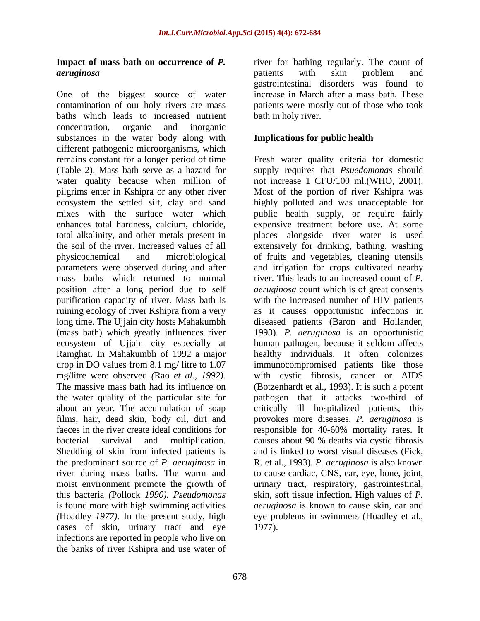# **Impact of mass bath on occurrence of** *P.*

One of the biggest source of water contamination of our holy rivers are mass patients were mostly out of those who took baths which leads to increased nutrient concentration, organic and inorganic substances in the water body along with different pathogenic microorganisms, which<br>remains constant for a longer period of time remains constant for a longer period of time Fresh water quality criteria for domestic (Table 2). Mass bath serve as a hazard for supply requires that *Psuedomonas* should water quality because when million of pilgrims enter in Kshipra or any other river Most of the portion of river Kshipra was ecosystem the settled silt, clay and sand highly polluted and was unacceptable for mixes with the surface water which public health supply, or require fairly enhances total hardness, calcium, chloride, expensive treatment before use. At some total alkalinity, and other metals present in places alongside river water is used the soil of the river. Increased values of all extensively for drinking, bathing, washing physicochemical and microbiological of fruits and vegetables, cleaning utensils parameters were observed during and after and irrigation for crops cultivated nearby mass baths which returned to normal river. This leads to an increased count of *P.*  position after a long period due to self *aeruginosa* count which is of great consents purification capacity of river. Mass bath is with the increased number of HIV patients ruining ecology of river Kshipra from a very as it causes opportunistic infections in long time. The Ujjain city hosts Mahakumbh diseased patients (Baron and Hollander, (mass bath) which greatly influences river 1993). *P. aeruginosa* is an opportunistic ecosystem of Ujjain city especially at human pathogen, because it seldom affects Ramghat. In Mahakumbh of 1992 a major healthy individuals. It often colonizes drop in DO values from 8.1 mg/ litre to 1.07 immunocompromised patients like those mg/litre were observed *(*Rao *et al., 1992).*with cystic fibrosis, cancer or AIDS The massive mass bath had its influence on (Botzenhardt et al., 1993). It is such a potent the water quality of the particular site for pathogen that it attacks two-third of about an year. The accumulation of soap critically ill hospitalized patients, this films, hair, dead skin, body oil, dirt and provokes more diseases. *P. aeruginosa* is faeces in the river create ideal conditions for responsible for 40-60% mortality rates. It bacterial survival and multiplication. causes about 90 % deaths via cystic fibrosis Shedding of skin from infected patients is and is linked to worst visual diseases (Fick, the predominant source of *P. aeruginosa* in river during mass baths. The warm and to cause cardiac, CNS, ear, eye, bone, joint, moist environment promote the growth of urinary tract, respiratory, gastrointestinal, this bacteria *(*Pollock *1990). Pseudomonas* skin, soft tissue infection. High valuesof *P.*  is found more with high swimming activities *(*Hoadley *1977).* In the present study, high cases of skin, urinary tract and eye infections are reported in people who live on the banks of river Kshipra and use water of

*aeruginosa* river for bathing regularly. The count of patients with skin problem and gastrointestinal disorders was found to increase in March after a mass bath. These bath in holy river.

## **Implications for public health**

not increase 1 CFU/100 ml.(WHO, 2001). causes about 90 % deaths via cystic fibrosis R. et al., 1993). *P. aeruginosa* is also known *aeruginosa* is known to cause skin, ear and eye problems in swimmers (Hoadley et al., 1977).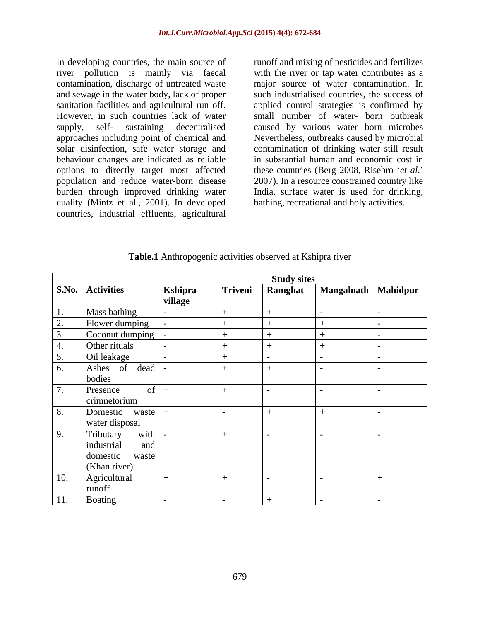In developing countries, the main source of runoff and mixing of pesticides and fertilizes river pollution is mainly via faecal with the river or tap water contributes as a contamination, discharge of untreated waste major source of water contamination. In and sewage in the water body, lack of proper such industrialised countries, the success of sanitation facilities and agricultural run off. applied control strategies is confirmed by However, in such countries lack of water small number of water- born outbreak supply, self- sustaining decentralised caused by various water born microbes approaches including point of chemical and Nevertheless, outbreaks caused by microbial solar disinfection, safe water storage and behaviour changes are indicated as reliable options to directly target most affected population and reduce water-born disease 2007). In a resource constrained country like burden through improved drinking water India, surface water is used for drinking, quality (Mintz et al., 2001). In developed countries, industrial effluents, agricultural

contamination of drinking water still result in substantial human and economic cost in these countries (Berg 2008, Risebro 'et al.' bathing, recreational and holy activities.

|               |                         |         |         | <b>Study sites</b> |                       |  |
|---------------|-------------------------|---------|---------|--------------------|-----------------------|--|
|               | <b>S.No.</b> Activities | Kshipra | Triveni | Ramghat            | Mangalnath   Mahidpur |  |
|               |                         | village |         |                    |                       |  |
| 1.            | Mass bathing            |         |         |                    |                       |  |
| Z.            | Flower dumping          |         |         |                    |                       |  |
|               | Coconut dumping         |         |         |                    |                       |  |
|               | Other rituals           |         |         |                    |                       |  |
| 5.            | Oil leakage             |         |         |                    |                       |  |
| 6.            | Ashes of dead           |         |         |                    |                       |  |
|               | bodies                  |         |         |                    |                       |  |
| 7.            | Presence<br>of $  +$    |         |         |                    |                       |  |
|               | crimnetorium            |         |         |                    |                       |  |
| $\boxed{8}$ . | Domestic waste +        |         |         |                    |                       |  |
|               | water disposal          |         |         |                    |                       |  |
| 9.            | with<br>Tributary       |         | $+$     | $\sim$             |                       |  |
|               | industrial<br>and       |         |         |                    |                       |  |
|               | domestic waste          |         |         |                    |                       |  |
|               | (Khan river)            |         |         |                    |                       |  |
| 10.           | Agricultural            |         |         |                    |                       |  |
|               | runoff                  |         |         |                    |                       |  |
| 11.           | Boating                 |         |         |                    |                       |  |

**Table.1** Anthropogenic activities observed at Kshipra river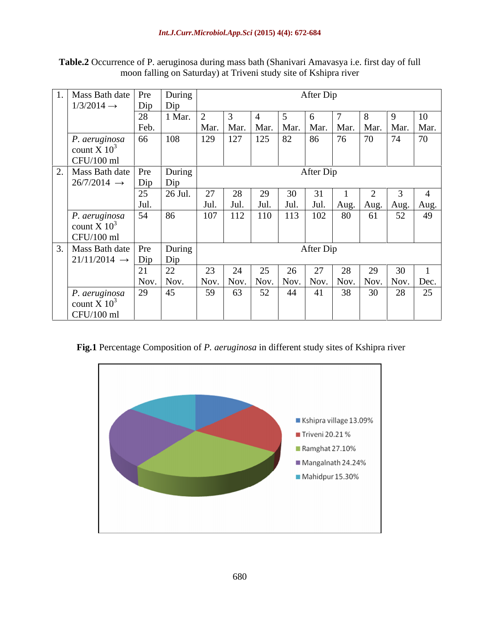| Table.2<br>a during mass bath (Shanivari<br>$\overline{\phantom{a}}$ of P<br>Amavasva<br>* dav<br>. $a$ eruginosa $\sim$<br>of ful<br>- †1rst<br>ccurrence<br>. |  |
|-----------------------------------------------------------------------------------------------------------------------------------------------------------------|--|
| $\cdots$<br>of Kshipra river<br>moon<br>n falling on<br>Triver<br>aturda<br>ı studv<br>-site ∩t<br>$\mathbf{1}$ at                                              |  |

| Mass Bath date   Pre                |      | During    |      |                    |      |      | After Dip |                                                                          |    |                    |                                        |
|-------------------------------------|------|-----------|------|--------------------|------|------|-----------|--------------------------------------------------------------------------|----|--------------------|----------------------------------------|
| $1/3/2014 \rightarrow$              | Dip  | Dip       |      |                    |      |      |           |                                                                          |    |                    |                                        |
|                                     | 28   | 1 Mar.    |      |                    |      |      |           |                                                                          |    |                    | 10                                     |
|                                     | Feb. |           |      | Mar.   Mar.   Mar. |      | Mar. |           | Mar. Mar.                                                                |    | Mar.   Mar.   Mar. |                                        |
| P. aeruginosa                       | 66   | 108       | 129  | 127                | 125  | 82   | 86        | 76                                                                       | 70 | 74                 | 70                                     |
| count X $10^3$                      |      |           |      |                    |      |      |           |                                                                          |    |                    |                                        |
| $CFU/100$ ml                        |      |           |      |                    |      |      |           |                                                                          |    |                    |                                        |
| Mass Bath date   Pre                |      | During    |      |                    |      |      | After Dip |                                                                          |    |                    |                                        |
| $26/7/2014 \rightarrow$             | Dip  | Dip       |      |                    |      |      |           |                                                                          |    |                    |                                        |
|                                     | 25   | 26 Jul.   | 27   | 28                 |      |      |           |                                                                          |    |                    |                                        |
|                                     | Jul. |           | Jul. | Jul.               | Jul. | Jul. | Jul.      |                                                                          |    |                    | Aug.   Aug.   Aug.   Aug.              |
| P. aeruginosa                       | 54   | 86        | 107  | 112                | 110  | 113  | 102       | 80                                                                       | 61 | 52                 | 49                                     |
| count X $10^3$                      |      |           |      |                    |      |      |           |                                                                          |    |                    |                                        |
| $CFU/100$ ml                        |      |           |      |                    |      |      |           |                                                                          |    |                    |                                        |
| Mass Bath date   Pre                |      | During    |      |                    |      |      | After Dip |                                                                          |    |                    |                                        |
| $ 21/11/2014 \rightarrow  Dip $ Dip |      |           |      |                    |      |      |           |                                                                          |    |                    |                                        |
|                                     |      | 22        | 23   | 24                 |      |      |           | 28                                                                       | 29 | 30                 |                                        |
|                                     |      | Nov. Nov. | Nov. |                    |      |      |           | $\vert$ Nov. $\vert$ Nov. $\vert$ Nov. $\vert$ Nov. $\vert$ Nov. $\vert$ |    |                    | $\vert$ Nov. $\vert$ Nov. $\vert$ Dec. |
| P. aeruginosa                       | 29   | 45        | 59   | 63                 | 52   | 44   | 41        | 38                                                                       | 30 | 28                 | 25                                     |
| count X $10^3$                      |      |           |      |                    |      |      |           |                                                                          |    |                    |                                        |
| $CFU/100$ ml                        |      |           |      |                    |      |      |           |                                                                          |    |                    |                                        |

 **Fig.1** Percentage Composition of *P. aeruginosa* in different study sites of Kshipra river

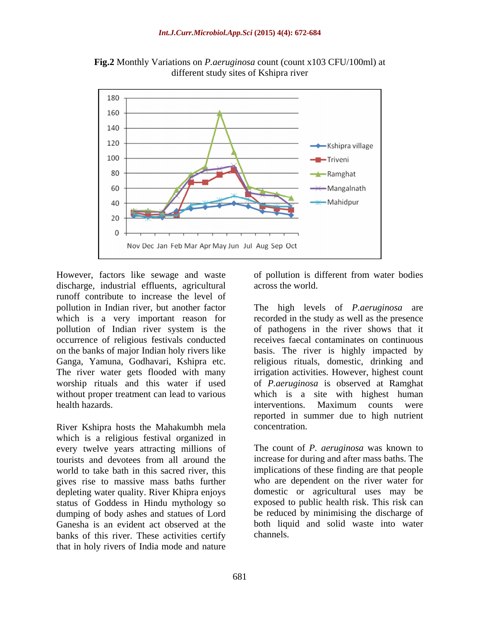

**Fig.2** Monthly Variations on *P.aeruginosa* count (count x103 CFU/100ml) at different study sites of Kshipra river

However, factors like sewage and waste of pollution is different from water bodies discharge, industrial effluents, agricultural runoff contribute to increase the level of pollution of Indian river system is the without proper treatment can lead to various health hazards. The counts were interventions. Maximum counts were

River Kshipra hosts the Mahakumbh mela which is a religious festival organized in every twelve years attracting millions of<br>tourists and devotees from all around the world to take bath in this sacred river, this gives rise to massive mass baths further status of Goddess in Hindu mythology so dumping of body ashes and statues of Lord Ganesha is an evident act observed at the banks of this river. These activities certify that in holy rivers of India mode and nature

across the world.

pollution in Indian river, but another factor The high levels of *P.aeruginosa* are which is a very important reason for recorded in the study as well as the presence occurrence of religious festivals conducted receives faecal contaminates on continuous on the banks of major Indian holy rivers like basis. The river is highly impacted by Ganga, Yamuna, Godhavari, Kshipra etc. religious rituals, domestic, drinking and The river water gets flooded with many irrigation activities. However, highest count worship rituals and this water if used of *P.aeruginosa* is observed at Ramghat of pathogens in the river shows that it which is a site with highest human interventions. Maximum counts were reported in summer due to high nutrient concentration.

tourists and devotees from all around the increase for during and after mass baths. The depleting water quality. River Khipra enjoys domestic or agricultural uses may be The count of *P. aeruginosa* was known to increase for during and after mass baths. The implications of these finding are that people who are dependent on the river water for exposed to public health risk. This risk can be reduced by minimising the discharge of both liquid and solid waste into water channels.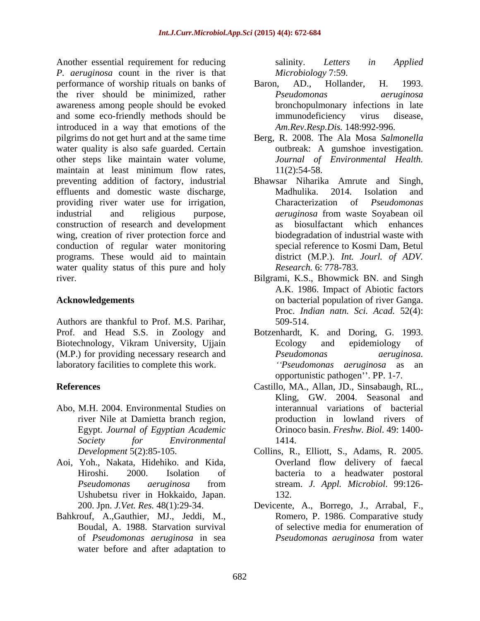Another essential requirement for reducing salinity. Letters in Applied *P. aeruginosa* count in the river is that performance of worship rituals on banks of Baron, AD., Hollander, H. 1993. the river should be minimized, rather *Pseudomonas aeruginosa* awareness among people should be evoked and some eco-friendly methods should be immunodeficiency virus disease, introduced in a way that emotions of the pilgrims do not get hurt and at the same time Berg, R. 2008. The Ala Mosa *Salmonella* water quality is also safe guarded. Certain other steps like maintain water volume, maintain at least minimum flow rates,  $11(2):54-58$ . preventing addition of factory, industrial effluents and domestic waste discharge, Madhulika. 2014. Isolation and providing river water use for irrigation, Characterization of *Pseudomonas* industrial and religious purpose, *aeruginosa* from waste Sovabean oil construction of research and development wing, creation of river protection force and conduction of regular water monitoring programs. These would aid to maintain water quality status of this pure and holy river. Bilgrami, K.S., Bhowmick BN. and Singh

Authors are thankful to Prof. M.S. Parihar, Biotechnology, Vikram University, Ujjain Ecology and epidemiology of (M.P.) for providing necessary research and *Pseudomonas aeruginosa*. laboratory facilities to complete this work.

- Abo, M.H. 2004. Environmental Studies on river Nile at Damietta branch region, Egypt. *Journal of Egyptian Academic*
- Aoi, Yoh., Nakata, Hidehiko. and Kida, Ushubetsu river in Hokkaido, Japan.
- Bahkrouf, A.,Gauthier, MJ., Jeddi, M., water before and after adaptation to

salinity. *Letters in Applied Microbiology* 7:59.

- Baron, AD., Hollander, H. 1993. *Pseudomonas aeruginosa* bronchopulmonary infections in late immunodeficiency virus disease, *Am.Rev.Resp.Dis.* 148:992-996.
- outbreak: A gumshoe investigation. *Journal of Environmental Health.* 11(2):54-58.
- Bhawsar Niharika Amrute and Singh, Madhulika. 2014. Isolation and Characterization of *Pseudomonas aeruginosa* from waste Soyabean oil biosulfactant which enhances biodegradation of industrial waste with special reference to Kosmi Dam, Betul district (M.P.). *Int. Jourl. of ADV. Research.* 6: 778-783.
- **Acknowledgements** on bacterial population of river Ganga. A.K. 1986. Impact of Abiotic factors Proc. *Indian natn. Sci. Acad.* 52(4): 509-514.
- Prof. and Head S.S. in Zoology and Botzenhardt, K. and Doring, G. 1993. Ecology and epidemiology of *Pseudomonas aeruginosa. Pseudomonas aeruginosa* as an opportunistic pathogen". PP. 1-7.
- **References** Castillo, MA., Allan, JD., Sinsabaugh, RL., *Society for Environmental* Kling, GW. 2004. Seasonal and interannual variations of bacterial production in lowland rivers of Orinoco basin. *Freshw. Biol*. 49: 1400- 1414.
	- *Development* 5(2):85-105. Collins, R., Elliott, S., Adams, R. 2005. Hiroshi. 2000. Isolation of bacteria to a headwater postoral *Pseudomonas aeruginosa* from stream. *J. Appl. Microbiol*. 99:126- Overland flow delivery of faecal 132.
	- 200. Jpn. *J.Vet. Res.* 48(1):29-34. Devicente, A., Borrego, J., Arrabal, F., Boudal, A. 1988. Starvation survival of selective media for enumeration of of *Pseudomonas aeruginosa* in sea Romero, P. 1986. Comparative study *Pseudomonas aeruginosa* from water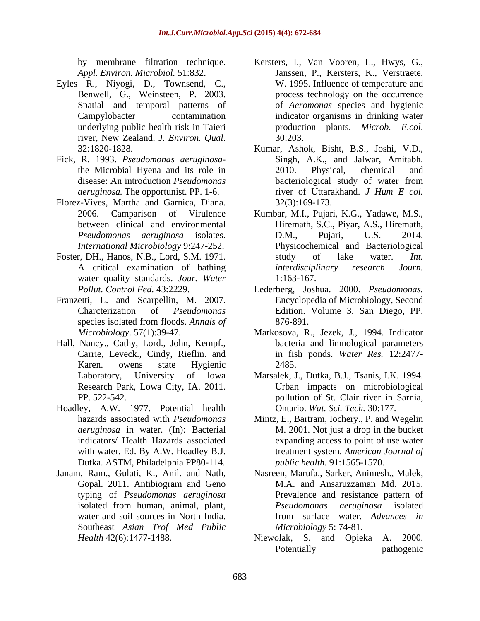- Eyles R., Niyogi, D., Townsend, C., Benwell, G., Weinsteen, P. 2003. river, New Zealand. *J. Environ. Qual*. 32:1820-1828.
- Fick, R. 1993. *Pseudomonas aeruginosa*-
- Florez-Vives, Martha and Garnica, Diana.
- water quality standards. *Jour. Water*
- Franzetti, L. and Scarpellin, M. 2007.
- Hall, Nancy., Cathy, Lord., John, Kempf., Carrie, Leveck., Cindy, Rieflin. and
- Hoadley, A.W. 1977. Potential health Dutka. ASTM, Philadelphia PP80-114.
- Janam, Ram., Gulati, K., Anil. and Nath, Southeast *Asian Trof Med Public*
- by membrane filtration technique. Kersters, I., Van Vooren, L., Hwys, G., *Appl. Environ. Microbiol.* 51:832. Janssen, P., Kersters, K., Verstraete, Spatial and temporal patterns of of *Aeromonas* species and hygienic Campylobacter contamination indicator organisms in drinking water underlying public health risk in Taieri production plants. *Microb.* E.col. W. 1995. Influence of temperature and process technology on the occurrence production plants. *Microb. E.col*. 30:203.
- the Microbial Hyena and its role in disease: An introduction *Pseudomonas*  bacteriological study of water from *aeruginosa.* The opportunist. PP. 1-6. The river of Uttarakhand. *J Hum E col.* Kumar, Ashok, Bisht, B.S., Joshi, V.D., Singh, A.K., and Jalwar, Amitabh. 2010. Physical, chemical and river of Uttarakhand. *J Hum E col.* 32(3):169-173.
- 2006. Camparison of Virulence Kumbar, M.I., Pujari, K.G., Yadawe, M.S., between clinical and environmental Hiremath, S.C., Piyar, A.S., Hiremath, *Pseudomonas aeruginosa* isolates. *International Microbiology* 9:247-252. Physicochemical and Bacteriological Foster, DH., Hanos, N.B., Lord, S.M. 1971. Study of lake water. *Int.* A critical examination of bathing *interdisciplinary research Journ*. D.M., Pujari, U.S. 2014. study of lake water. *Int. interdisciplinary research Journ.* 1:163-167.
	- *Pollut. Control Fed.* 43:2229. Lederberg, Joshua. 2000. *Pseudomonas.*  Charcterization of *Pseudomonas*  Edition. Volume 3. San Diego, PP. species isolated from floods. *Annals of* Encyclopedia of Microbiology, Second 876-891.
	- *Microbiology*. 57(1):39-47. Markosova, R., Jezek, J., 1994. Indicator Karen. owens state Hygienic bacteria and limnological parameters in fish ponds. *Water Res.* 12:2477- 2485.
	- Laboratory, University of lowa Marsalek, J., Dutka, B.J., Tsanis, I.K. 1994. Research Park, Lowa City, IA. 2011. Urban impacts on microbiological PP. 522-542. pollution of St. Clair river in Sarnia, Ontario. *Wat. Sci. Tech.* 30:177.
	- hazards associated with *Pseudomonas*  Mintz, E., Bartram, Iochery., P. and Wegelin *aeruginosa* in water. (In): Bacterial M. 2001. Not just a drop in the bucket indicators/ Health Hazards associated expanding access to point of use water with water. Ed. By A.W. Hoadley B.J. treatment system. *American Journal of public health.* 91:1565-1570.
	- Gopal. 2011. Antibiogram and Geno M.A. and Ansaruzzaman Md. 2015. typing of *Pseudomonas aeruginosa* Prevalence and resistance pattern of isolated from human, animal, plant, *Pseudomonas aeruginosa* isolated water and soil sources in North India. The from surface water. Advances in Nasreen, Marufa., Sarker, Animesh., Malek, M.A. and Ansaruzzaman Md. 2015. *Pseudomonas aeruginosa* isolated from surface water. *Advances in Microbiology* 5: 74-81.
	- *Health* 42(6):1477-1488. Niewolak, S. and Opieka A. 2000. Potentially **Propertially** pathogenic